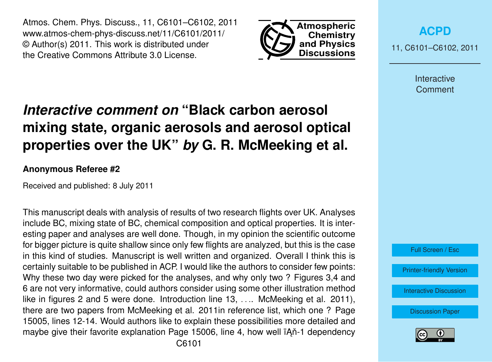Atmos. Chem. Phys. Discuss., 11, C6101–C6102, 2011 www.atmos-chem-phys-discuss.net/11/C6101/2011/ © Author(s) 2011. This work is distributed under the Creative Commons Attribute 3.0 License.



**[ACPD](http://www.atmos-chem-phys-discuss.net)**

11, C6101–C6102, 2011

Interactive **Comment** 

## *Interactive comment on* **"Black carbon aerosol mixing state, organic aerosols and aerosol optical properties over the UK"** *by* **G. R. McMeeking et al.**

## **Anonymous Referee #2**

Received and published: 8 July 2011

This manuscript deals with analysis of results of two research flights over UK. Analyses include BC, mixing state of BC, chemical composition and optical properties. It is interesting paper and analyses are well done. Though, in my opinion the scientific outcome for bigger picture is quite shallow since only few flights are analyzed, but this is the case in this kind of studies. Manuscript is well written and organized. Overall I think this is certainly suitable to be published in ACP. I would like the authors to consider few points: Why these two day were picked for the analyses, and why only two ? Figures 3,4 and 6 are not very informative, could authors consider using some other illustration method like in figures 2 and 5 were done. Introduction line 13, ..., McMeeking et al. 2011). there are two papers from McMeeking et al. 2011in reference list, which one ? Page 15005, lines 12-14. Would authors like to explain these possibilities more detailed and maybe give their favorite explanation Page 15006, line 4, how well iAn-1 dependency